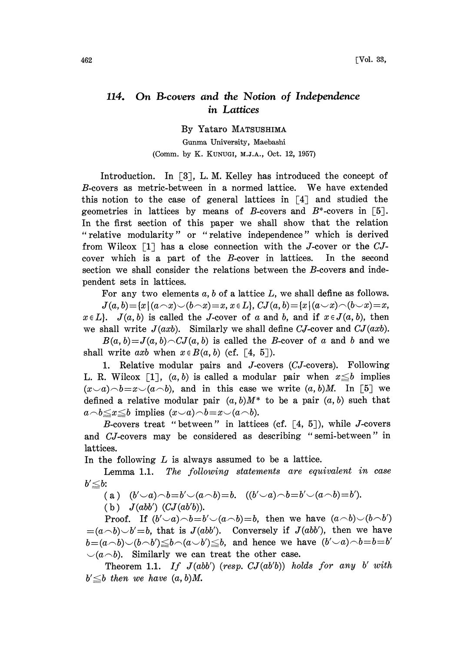## 114. On B-covers and the Notion of Independence in Lattices

By Yataro MATSUSHIMA

Gunma University, Maebashi (Comm. by K. KUNUGI, M.J.A., Oct. 12, 1957)

Introduction. In  $\lceil 3 \rceil$ , L. M. Kelley has introduced the concept of B-covers as metric-between in <sup>a</sup> normed lattice. We have extended this notion to the case of general lattices in  $\lceil 4 \rceil$  and studied the geometries in lattices by means of B-covers and  $B^*$ -covers in [5]. In the first section of this paper we shall show that the relation "relative modularity" or "relative independence" which is derived from Wilcox  $\lceil 1 \rceil$  has a close connection with the J-cover or the CJcover which is a part of the B-cover in lattices. In the second section we shall consider the relations between the B-covers and independent sets in lattices.

For any two elements  $a, b$  of a lattice  $L$ , we shall define as follows.

 $J(a, b) = \{x \mid (a \cap x) \cup (b \cap x) = x, x \in L\}, CJ(a, b) = \{x \mid (a \cup x) \cap (b \cup x) = x,$  $x \in L$ .  $J(a, b)$  is called the J-cover of a and b, and if  $x \in J(a, b)$ , then we shall write  $J(axb)$ . Similarly we shall define CJ-cover and C $J(axb)$ .

 $B(a, b)=J(a, b)\cap CJ(a, b)$  is called the B-cover of a and b and we shall write axb when  $x \in B(a, b)$  (cf. [4, 5]).

1. Relative modular pairs and J-covers (CJ-covers). Following L. R. Wilcox [1],  $(a, b)$  is called a modular pair when  $x \leq b$  implies  $(x\smile a)\smile b=x\smile (a\smile b)$ , and in this case we write  $(a, b)M$ . In [5] we defined a relative modular pair  $(a, b)M^*$  to be a pair  $(a, b)$  such that  $a \neg b \leq x \leq b$  implies  $(x \neg a) \neg b = x \neg(a \neg b)$ .

B-covers treat "between" in lattices (cf.  $\lceil 4, 5 \rceil$ ), while J-covers and CJ-covers may be considered as describing "semi-between" in lattices.

In the following  $L$  is always assumed to be a lattice.

Lemma 1.1. The following statements are equivalent in case  $b'\leq b$ :

(a)  $(b'\neg a)\neg b = b'\neg(a\neg b) = b.$   $((b'\neg a)\neg b = b'\neg(a\neg b) = b').$ 

(b)  $J(abb')$   $(CJ(ab'b))$ .

Proof. If  $(b'\neg a)\neg b=b'\neg(a\neg b)=b$ , then we have  $(a\neg b)\neg(b\neg b')$  $=(a\wedge b)\vee b'=b$ , that is  $J(abb')$ . Conversely if  $J(abb')$ , then we have  $b=(a\wedge b)\vee(b\wedge b')\leq b\wedge(a\vee b')\leq b$ , and hence we have  $(b'\vee a)\wedge b=b=b'$  $\bigcup (a \bigwedge b)$ . Similarly we can treat the other case.

Theorem 1.1. If  $J(abb')$  (resp.  $CJ(ab'b)$ ) holds for any b' with  $b' \leq b$  then we have  $(a, b)M$ .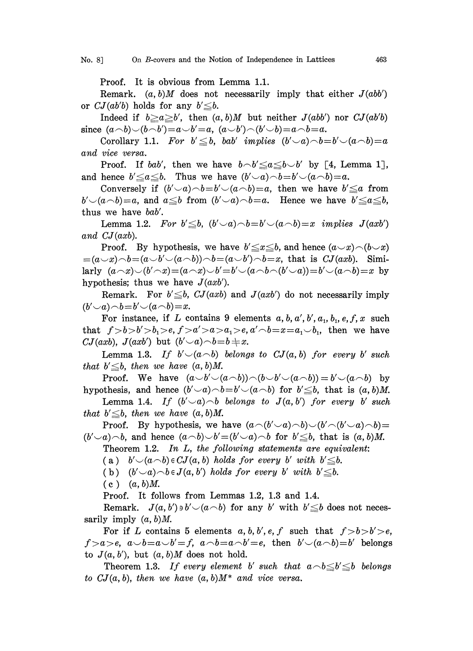Proof. It is obvious from Lemma 1.1.

Remark.  $(a, b)M$  does not necessarily imply that either  $J(abb')$ or  $CJ(ab'b)$  holds for any  $b' \leq b$ .

Indeed if  $b \ge a \ge b'$ , then  $(a, b)M$  but neither  $J(abb')$  nor  $CJ(ab'b)$ since  $(a\neg b)\neg(b\neg b')=a\neg b'=a$ ,  $(a\neg b')\neg(b'\neg b)=a\neg b=a$ .

Corollary 1.1. For  $b' \leq b$ , bab' implies  $(b'\smile a)\neg b=b'\smile(a\neg b)=a$ and vice versa.

Proof. If bab', then we have  $b \neg b' \leq a \leq b \neg b'$  by [4, Lemma 1], and hence  $b'\leq a\leq b$ . Thus we have  $(b'\neg a)\neg b=b'\neg(a\neg b)=a$ .

Conversely if  $(b'\neg a)\neg b=b'\neg(a\neg b)=a$ , then we have  $b'\leq a$  from  $b' \neg(a \neg b) = a$ , and  $a \leq b$  from  $(b' \neg a) \neg b = a$ . Hence we have  $b' \leq a \leq b$ , thus we have bab'.

Lemma 1.2. For  $b' \leq b$ ,  $(b' \cup a) \cap b = b' \cup (a \cap b) = x$  implies  $J(axb')$ and CJ(axb).

Proof. By hypothesis, we have  $b' \leq x \leq b$ , and hence  $(a \smile x) \neg (b \smile x)$  $=(a\smile x)\smile b=(a\smile b'\smile(a\smile b))\smile b=(a\smile b')\smile b=x$ , that is  $CJ(axb)$ . Similarly  $(a\wedge x)\smile(b'\wedge x)=(a\wedge x)\smile b'=b'\smile(a\wedge b\wedge(b'\smile a))=b'\smile(a\wedge b)=x$  by hypothesis; thus we have  $J(axb')$ .

Remark. For  $b' \leq b$ ,  $CJ(axb)$  and  $J(axb')$  do not necessarily imply  $(b'\smile a)\!\frown\! b\!=\!b'\smile(a\!\frown\! b)\!=\!x.$ 

For instance, if L contains 9 elements  $a, b, a', b', a_1, b_1, e, f, x$  such that  $f > b > b' > b_1 > e, f > a' > a > a_1 > e, a' \circ b = x = a_1 \circ b_1$ , then we have CJ(axb), J(axb') but  $(b'\smile a)\neg b=b\uparrow x$ .

Lemma 1.3. If  $b' \neg(a \neg b)$  belongs to  $CJ(a, b)$  for every b' such that  $b' \leq b$ , then we have  $(a, b)M$ .

Proof. We have  $(a \smile b' \smile (a \smile b') \neg (b \smile b' \smile (a \neg b)) = b' \smile (a \neg b)$  by hypothesis, and hence  $(b'\neg a)\neg b=b'\neg(a\neg b)$  for  $b'\leq b$ , that is  $(a, b)M$ .

Lemma 1.4. If  $(b'\neg a)\neg b$  belongs to  $J(a,b')$  for every b' such that  $b' \leq b$ , then we have  $(a, b)M$ .

Proof. By hypothesis, we have  $(a\wedge(b'\vee a)\wedge b)\vee(b'\wedge(b'\vee a)\wedge b)=$  $(b'\neg a)\neg b$ , and hence  $(a\neg b)\neg b'=(b'\neg a)\neg b$  for  $b'\leq b$ , that is  $(a, b)M$ .

Theorem 1.2. In L, the following statements are equivalent:

(a)  $b' \cup (a \cap b) \in CJ(a, b)$  holds for every b' with  $b' \leq b$ .

(b)  $(b'\smile a)\smile b \in J(a, b')$  holds for every b' with  $b'\leq b$ .

 $(c)$   $(a, b)M$ .

Proof. It follows from Lemmas 1.2, 1.3 and 1.4.

Remark.  $J(a, b') \ni b' \negthinspace \sim \negthinspace (a \negthinspace \sim \negthinspace b)$  for any b' with  $b' \leq b$  does not necessarily imply  $(a, b)M$ .

For if L contains 5 elements  $a, b, b', e, f$  such that  $f > b > b' > e$ ,  $f>a>e, a\smile b=a\smile b'=f, a\smile b=a\smile b'=e,$  then  $b'\smile(a\smile b)=b'$  belongs to  $J(a, b')$ , but  $(a, b)M$  does not hold.

Theorem 1.3. If every element b' such that  $a \rightarrow b \leq b' \leq b$  belongs to  $CJ(a, b)$ , then we have  $(a, b)M^*$  and vice versa.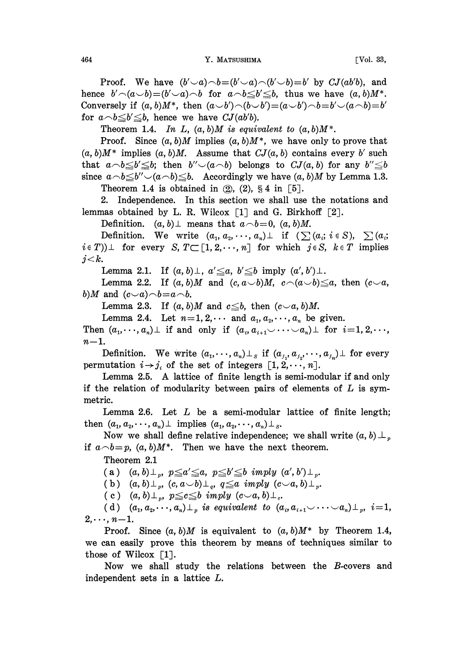464 **Y. MATSUSHIMA FVol. 33,** 

Proof. We have  $(b'\neg a)\neg b=(b'\neg a)\neg(b'\neg b)=b'$  by  $CJ(ab'b)$ , and hence  $b' \cap (a \cup b) = (b' \cup a) \cap b$  for  $a \cap b \leq b' \leq b$ , thus we have  $(a, b)M^*$ . Conversely if  $(a, b)M^*$ , then  $(a\smile b')\!\frown\! (b\smile b')\!=\!(a\smile b')\!\frown\! b\!=\!b'\smile\!(a\!\frown\! b)\!=\!b'$ for  $a \neg b \leq b' \leq b$ , hence we have  $CJ(ab'b)$ .

Theorem 1.4. In L,  $(a, b)M$  is equivalent to  $(a, b)M^*$ .

Proof. Since  $(a, b)M$  implies  $(a, b)M^*$ , we have only to prove that  $(a, b)M^*$  implies  $(a, b)M$ . Assume that  $CJ(a, b)$  contains every b' such that  $a \neg b \leq b' \leq b$ ; then  $b'' \neg(a \neg b)$  belongs to  $CJ(a, b)$  for any  $b'' \leq b$ since  $a \neg b \leq b'' \neg(a \neg b) \leq b$ . Accordingly we have  $(a, b)M$  by Lemma 1.3. Theorem 1.4 is obtained in  $(2)$ ,  $(2)$ ,  $\S 4$  in  $[5]$ .

2. Independence. In this section we shall use the notations and lemmas obtained by L. R. Wilcox  $\lceil 1 \rceil$  and G. Birkhoff  $\lceil 2 \rceil$ .

Definition.  $(a, b) \perp$  means that  $a \neg b = 0$ ,  $(a, b)M$ .

Definition. We write  $(a_1, a_2, \dots, a_n) \perp$  if  $(\sum (a_i; i \in S), \sum (a_i;$  $i \in T$ )  $\perp$  for every S,  $T \subset [1, 2, \dots, n]$  for which  $j \in S$ ,  $k \in T$  implies  $j < k$ .

Lemma 2.1. If  $(a, b) \perp$ ,  $a' \leq a$ ,  $b' \leq b$  imply  $(a', b') \perp$ .

Lemma 2.2. If  $(a, b)M$  and  $(c, a\smile b)M$ ,  $c\wedge(a\smile b)\leq a$ , then  $(c\smile a,$ b)M and  $(c \smile a) \neg b = a \neg b$ .

Lemma 2.3. If  $(a, b)M$  and  $c \leq b$ , then  $(c \vee a, b)M$ .

Lemma 2.4. Let  $n=1, 2, \cdots$  and  $a_1, a_2, \cdots, a_n$  be given.

Then  $(a_1, \dots, a_n)$  if and only if  $(a_i, a_{i+1} \vee \dots \vee a_n)$  for  $i=1, 2, \dots$ ,  $n-1$ .

Definition. We write  $(a_1, \dots, a_n) \perp_s$  if  $(a_{j_1}, a_{j_2}, \dots, a_{j_n}) \perp$  for every permutation  $i \rightarrow j_i$  of the set of integers  $[1, 2, \dots, n].$ 

Lemma 2.5. A lattice of finite length is semi-modular if and only if the relation of modularity between pairs of elements of  $L$  is symmetric.

Lemma 2.6. Let  $L$  be a semi-modular lattice of finite length; then  $(a_1, a_2, \dots, a_n) \perp$  implies  $(a_1, a_2, \dots, a_n) \perp$  s.

Now we shall define relative independence; we shall write  $(a, b) \perp_{p}$ if  $a \neg b = p$ ,  $(a, b)M^*$ . Then we have the next theorem.

Theorem 2.1

(a)  $(a, b) \perp_{n}$ ,  $p \le a' \le a$ ,  $p \le b' \le b$  imply  $(a', b') \perp_{n}$ .

(b)  $(a, b) \perp_{p}$ ,  $(c, a \cup b) \perp_{q}$ ,  $q \leq a$  imply  $(c \cup a, b) \perp_{p}$ .

(c)  $(a, b) \perp_p$ ,  $p \leq c \leq b$  imply  $(c \sim a, b) \perp_c$ .

(d)  $(a_1, a_2, \dots, a_n) \perp_p$  is equivalent to  $(a_i, a_{i+1} \vee \dots \vee a_n) \perp_p$ ,  $i=1$ ,  $2,\dots, n-1.$ 

Proof. Since  $(a, b)M$  is equivalent to  $(a, b)M^*$  by Theorem 1.4, we can easily prove this theorem by means of techniques similar to those of Wilcox [1].

Now we shall study the relations between the B-covers and independent sets in a lattice L.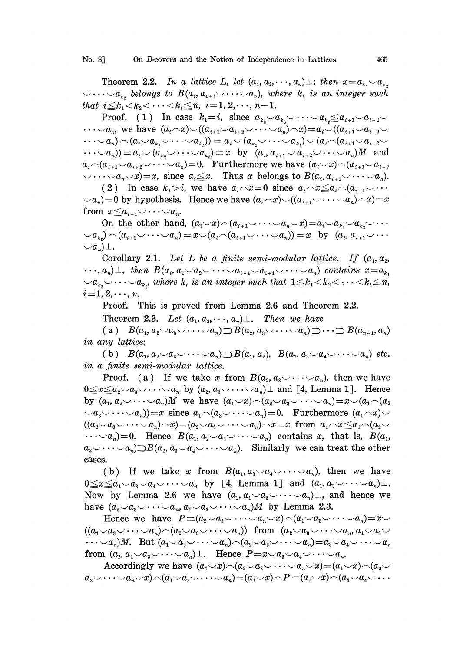Theorem 2.2. In a lattice L, let  $(a_1, a_2, \dots, a_n) \perp$ ; then  $x = a_{k_1} \smile a_{k_2}$  $\vee \cdots \vee a_{k}$ , belongs to  $B(a_i, a_{i+1} \vee \cdots \vee a_n)$ , where  $k_i$  is an integer such that  $i \leq k_1 < k_2 < \cdots < k_t \leq n$ ,  $i=1, 2, \cdots, n-1$ .

Proof. (1) In case  $k_1=i$ , since  $a_{k_0}\smile a_{k_1}\smile \cdots \smile a_{k_i}\smile a_{i+1}\smile a_{i+2}\smile$  $\cdots \mathcal{A}_n$ , we have  $(a_i \sim x) \mathcal{A}(a_{i+1} \mathcal{A}_{i+2} \mathcal{A} \cdots \mathcal{A}_n) \mathcal{A}(a_{i+1} \mathcal{A}_{i+2} \mathcal{A}_{i+2} \mathcal{A} \cdots \mathcal{A}_n)$  $\cdots \vee a_n) \frown (a_i \vee a_{k_o} \vee \cdots \vee a_{k_t})) = a_i \vee (a_{k_o} \vee \cdots \vee a_{k_t}) \vee (a_i \frown (a_{i+1} \vee a_{i+2} \vee \cdots \vee a_{k_t}))$  $(\cdots \vee a_n))=a_i\vee (a_k\vee \cdots \vee a_k)=x~~\text{ by }~~(a_i,a_{i+1}\vee a_{i+2}\vee \cdots \vee a_n)M~~\text{ and }$  $a_i \neg (a_{i+1} \negthinspace \cup \negthinspace a_{i+2} \negthinspace \vee \negthinspace \cdots \negthinspace \vee \negthinspace a_n) = 0.$  Furthermore we have  $(a_i \negthinspace \vee \negthinspace x) \negthinspace \cap \negthinspace (a_{i+1} \negthinspace \vee \negthinspace a_{i+2}$  $\vee \cdots \vee a_n \vee x$ ) = x, since  $a_i \leq x$ . Thus x belongs to  $B(a_i, a_{i+1} \vee \cdots \vee a_n)$ .

(2) In case  $k_1 > i$ , we have  $a_i \ncceq x = 0$  since  $a_i \ncceq x \leq a_i \ncceq (a_{i+1} \ncceq \ncceq a_i)$  $\langle \mathcal{A}_n \rangle = 0$  by hypothesis. Hence we have  $(a_i \wedge x) \vee ((a_{i+1} \vee \cdots \vee a_n) \wedge x) = x$ from  $x \le a_{i+1} \cup \cdots \cup a_n$ .

On the other hand,  $(a_i \smile x) \neg (a_{i+1} \smile \cdots \smile a_n \smile x) = a_i \smile a_{k_1} \smile a_{k_2} \smile \cdots$  $\langle \hspace{0.1 cm} \circ \hspace{0.1 cm} a_{i}\rangle \! \sim\! (a_{i+1} \!\!\smile\!\cdots\!\smile\! a_n) \!=\! x\! \smallsetminus \! (a_{i}\!\!\smallfrown\!\! (a_{i+1} \!\!\smile\!\cdots\!\smile\! a_n)) \!=\! x \;\; \text{ by } \;\; (a_{i}, a_{i+1} \!\!\smile\!\cdots\!\smile\! a_n)$  $\cup a_n$ )  $\perp$ .

Corollary 2.1. Let L be a finite semi-modular lattice. If  $(a_1, a_2, a_3)$  $\cdots, a_n$ )  $\perp$ , then  $B(a_i, a_1 \vee a_2 \vee \cdots \vee a_{i-1} \vee a_{i+1} \vee \cdots \vee a_n)$  contains  $x = a_{k_1}$  $v_i \cup a_{k_1} \cup \cdots \cup a_{k_t}$ , where  $k_t$  is an integer such that  $1 \leq k_1 \leq k_2 \leq \cdots \leq k_t \leq n_t$ ,  $i=1, 2, \dots, n$ .

Proof. This is proved from Lemma 2.6 and Theorem 2.2.

Theorem 2.3. Let  $(a_1, a_2, \dots, a_n) \perp$ . Then we have

(a)  $B(a_1, a_2 \smile a_3 \smile \cdots \smile a_n) \supset B(a_2, a_3 \smile \cdots \smile a_n) \supset \cdots \supset B(a_{n-1}, a_n)$ in any lattice;

(b)  $B(a_1, a_2 \smile a_3 \smile \cdots \smile a_n) \supset B(a_1, a_2), B(a_1, a_3 \smile a_4 \smile \cdots \smile a_n)$  etc. in a finite semi-modular lattice.

Proof. (a) If we take x from  $B(a_2, a_3 \cup \cdots \cup a_n)$ , then we have  $0 \le x \le a_2 \cup a_3 \cup \cdots \cup a_n$  by  $(a_2, a_3 \cup \cdots \cup a_n) \perp$  and [4, Lemma 1]. Hence by  $(a_1, a_2 \cup \cdots \cup a_n)M$  we have  $(a_1 \cup x) \cap (a_2 \cup a_3 \cup \cdots \cup a_n) = x \cup (a_1 \cap (a_2))$  $(a_3\vee \cdots \vee a_n)=x$  since  $a_1\wedge (a_2\vee \cdots \vee a_n)=0$ . Furthermore  $(a_1\wedge x)\vee$  $((a_2\smile a_3\smile\cdots\smile a_n)\smile x)=(a_2\smile a_3\smile\cdots\smile a_n)\smile x=x$  from  $a_1\smile x\leq a_1\smile(a_2\smile$  $\dots \circ a_n=0$ . Hence  $B(a_1, a_2 \circ a_3 \circ \dots \circ a_n)$  contains x, that is,  $B(a_1, a_2 \circ a_3 \circ \dots \circ a_n)$  $a_2\cup\cdots\cup a_n\supset B(a_2, a_3\cup a_4\cup\cdots\cup a_n).$  Similarly we can treat the other cases.

(b) If we take x from  $B(a_1, a_3 \cup a_4 \cup \cdots \cup a_n)$ , then we have  $0 \leq x \leq a_1 \cup a_3 \cup a_4 \cup \cdots \cup a_n$  by [4, Lemma 1] and  $(a_1, a_3 \cup \cdots \cup a_n) \perp$ . Now by Lemma 2.6 we have  $(a_2, a_1 \vee a_3 \vee \cdots \vee a_n) \perp$ , and hence we have  $(a_2 \smile a_3 \smile \cdots \smile a_n, a_1 \smile a_3 \smile \cdots \smile a_n)M$  by Lemma 2.3.

Hence we have  $P \equiv (a_2 \smile a_3 \smile \cdots \smile a_n \smile x) \wedge (a_1 \smile a_3 \smile \cdots \smile a_n) = x \smile$  $((a_1 \vee a_3 \vee \cdots \vee a_n) \wedge (a_2 \vee a_3 \vee \cdots \vee a_n))$  from  $(a_2 \vee a_3 \vee \cdots \vee a_n, a_1 \vee a_3 \vee \cdots$  $\dots \vee a_n)M.$  But  $(a_1 \vee a_3 \vee \dots \vee a_n) \wedge (a_2 \vee a_3 \vee \dots \vee a_n) = a_3 \vee a_4 \vee \dots \vee a_n$ from  $(a_2, a_1 \cup a_3 \cup \cdots \cup a_n) \perp$ . Hence  $P=x \cup a_3 \cup a_4 \cup \cdots \cup a_n$ .

Accordingly we have  $(a_1 \smile x) \neg (a_2 \smile a_3 \smile \cdots \smile a_n \smile x) = (a_1 \smile x) \neg (a_2 \smile$  $a_3\smile\cdots\smile a_n\smile x)\wedge(a_1\smile a_3\smile\cdots\smile a_n)=(a_1\smile x)\wedge P=(a_1\smile x)\wedge(a_3\smile a_4\smile\cdots\smile x)$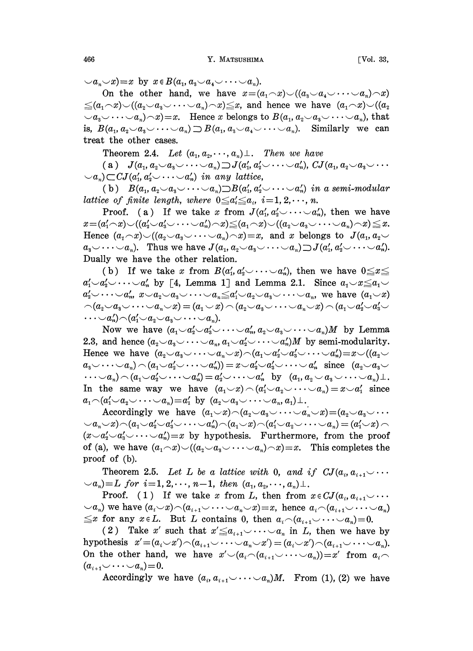$(a_n\smile x)=x$  by  $x\in B(a_1, a_3\smile a_4\smile \cdots \smile a_n).$ 

On the other hand, we have  $x=(a_1 \wedge x) \vee ((a_2 \vee a_4 \vee \cdots \vee a_n) \wedge x)$  $\leq (a_1 \wedge x) \vee ((a_2 \vee a_3 \vee \cdots \vee a_n) \wedge x) \leq x$ , and hence we have  $(a_1 \wedge x) \vee ((a_2 \vee a_3 \vee \cdots \vee a_n) \wedge x)$  $(a_3\vee \cdots \vee a_n)\wedge x)=x.$  Hence x belongs to  $B(a_1, a_2\vee a_3\vee \cdots \vee a_n)$ , that is,  $B(a_1, a_2 \cup a_3 \cup \cdots \cup a_n) \supset B(a_1, a_3 \cup a_4 \cup \cdots \cup a_n)$ . Similarly we can treat the other cases.

Theorem 2.4. Let  $(a_1, a_2, \dots, a_n) \perp$ . Then we have

(a)  $J(a_1, a_2 \smile a_3 \smile \cdots \smile a_n) \supset J(a'_1, a'_2 \smile \cdots \smile a'_n), CJ(a_1, a_2 \smile a_3 \smile \cdots$  $(a_n) \subset \mathbb{C}J(a'_1, a'_2 \cup \cdots \cup a'_n)$  in any lattice,

(b)  $B(a_1, a_2 \cup a_3 \cup \cdots \cup a_n) \supset B(a'_1, a'_2 \cup \cdots \cup a'_n)$  in a semi-modular lattice of finite length, where  $0 \leq a_i \leq a_i$ ,  $i=1, 2, \dots, n$ .

Proof. (a) If we take x from  $J(a'_1, a'_2 \cup \cdots \cup a'_n)$ , then we have  $x=(a'_1 \frown x) \frown ((a'_2 \frown a'_3 \frown \cdots \frown a'_n) \frown x) \leq (a_1 \frown x) \frown ((a_2 \frown a_3 \frown \cdots \frown a_n) \frown x) \leq x.$ <br>
Hence  $(a_1 \frown x) \frown ((a_2 \frown a_3 \frown \cdots \frown a_n) \frown x) = x$ , and x belongs to  $J(a_1, a_2 \frown x)$ Hence  $(a_1 \frown x) \frown ((a_2 \frown a_3 \frown \cdots \frown a_n) \frown x) = x$ , and x belongs to  $J(a_1, a_2 \frown a_3 \frown \cdots \frown a_n)$ . Thus we have  $J(a_1, a_2 \frown a_3 \frown \cdots \frown a_n) \frown J(a'_1, a'_2 \frown \cdots \frown a'_n)$ . Dually we have the other relation.

(b) If we take x from  $B(a'_1, a'_2 \cup \cdots \cup a'_n)$ , then we have  $0 \le x \le$  $a'_1 \sim a'_2 \sim \cdots \sim a'_n$  by [4, Lemma 1] and Lemma 2.1. Since  $a_1 \sim x \le a_1 \sim$  $a'_2\smile\cdots\smile a'_n$ ,  $x\smile a_2\smile a_3\smile\cdots\smile a_n\leq a'_1\smile a_2\smile a_3\smile\cdots\smile a_n$ , we have  $(a_1\smile x)$  $\bigcap (a_2 \cup a_3 \cup \cdots \cup a_n \cup x) = (a_1 \cup x) \bigcap (a_2 \cup a_3 \cup \cdots \cup a_n \cup x) \bigcap (a_1 \cup a_2' \cup a_3' \cup x)$  $\cdots \Delta a_n' \setminus \Delta(a_1' \cup a_2 \cup a_3 \cup \cdots \cup a_n).$ 

Now we have  $(a_1 \smile a_2' \smile a_3' \smile \cdots \smile a_n' a_2 \smile a_3 \smile \cdots \smile a_n)M$  by Lemma 2.3, and hence  $(a_2 \vee a_3 \vee \cdots \vee a_n, a_1 \vee a_2' \vee \cdots \vee a_n')M$  by semi-modularity. Hence we have  $(a_2 \vee a_3 \vee \cdots \vee a_n \vee x) \wedge (a_1 \vee a_2' \vee a_3' \vee \cdots \vee a_n') = x \vee ((a_2 \vee a_3') \vee a_3' \vee a_3' \vee a_3')$ Hence we have  $(a_2 \smile a_3 \smile \cdots \smile a_n \smile x) \neg (a_1 \smile a_2' \smile a_3' \smile \cdots \smile a_n') = x \smile a_2' \smile a_3 \smile \cdots \smile a_n) \neg (a_1 \smile a_2' \smile \cdots \smile a_n') = x \smile a_2' \smile a_3 \smile \cdots \smile a_n$  since  $(a_2 \smile a_3 \smile \cdots \smile a_n')$ an) (aa... a) a... a by (a, <sup>a</sup> as an).  $\dots \sim a_n$ )  $\sim (a_1 \sim a_2' \sim \dots \sim a_n') = a_2' \sim \dots \sim a_n'$  by  $(a_1, a_2 \sim a_3 \sim \dots \sim a_n) \perp$ .<br>In the same way we have  $(a_1 \sim x) \sim (a_1' \sim a_2 \sim \dots \sim a_n) = x \sim a_1'$  since  $a_1 \neg (a_1' \neg a_2 \neg \cdots \neg a_n) = a_1'$  by  $(a_2 \neg a_3 \neg \cdots \neg a_n, a_1) \perp$ .

Accordingly we have  $(a_1 \smile x) \neg (a_2 \smile a_3 \smile \cdots \smile a_n \smile x) = (a_2 \smile a_3 \smile \cdots$  $\langle \alpha_n \vee x \rangle \cap (a_1 \vee a_2' \vee a_3' \vee \cdots \vee a_n') \cap (a_1 \vee x) \cap (a_1' \vee a_2 \vee \cdots \vee a_n) = (a_1' \vee x) \cap$  $(x \vee a'_1 \vee a'_2 \vee \cdots \vee a'_n) = x$  by hypothesis. Furthermore, from the proof of (a), we have  $(a_1 \neg x) \neg ((a_2 \neg a_3 \neg \cdots \neg a_n) \neg x) = x$ . This completes the proof of (b).

Theorem 2.5. Let L be a lattice with 0, and if  $CJ(a_i, a_{i+1} \cup \cdots)$  $(a_0, a_1) = L$  for  $i=1, 2, \dots, n-1$ , then  $(a_1, a_2, \dots, a_n) \perp$ .

Proof. (1) If we take x from L, then from  $x \in CJ(a_i, a_{i+1} \cup \cdots$  $(a_n)$  we have  $(a_i \sim x) \land (a_{i+1} \sim \cdots \sim a_n \sim x) = x$ , hence  $a_i \land (a_{i+1} \sim \cdots \sim a_n)$  $\leq x$  for any  $x \in L$ . But L contains 0, then  $a_i \neg (a_{i+1} \vee \cdots \vee a_n)=0$ .

(2) Take x' such that  $x' \le a_{i+1} \cup \cdots \cup a_n$  in L, then we have by hypothesis  $x'=(a_i\smile x')\!\frown\! (a_{i+1}\smile\cdots\smile a_n\smile x')\! = (a_i\smile x')\!\frown\! (a_{i+1}\smile\cdots\smile a_n).$ On the other hand, we have  $x' \setminus (a_{i} \setminus (a_{i+1} \cup \cdots \cup a_n)) = x'$  from  $a_i \setminus (a_{i+1} \cup \cdots \cup a_n)$  $(a_{i+1}\cup \cdots \cup a_n)=0.$ 

Accordingly we have  $(a_i, a_{i+1} \vee \cdots \vee a_n)M$ . From (1), (2) we have